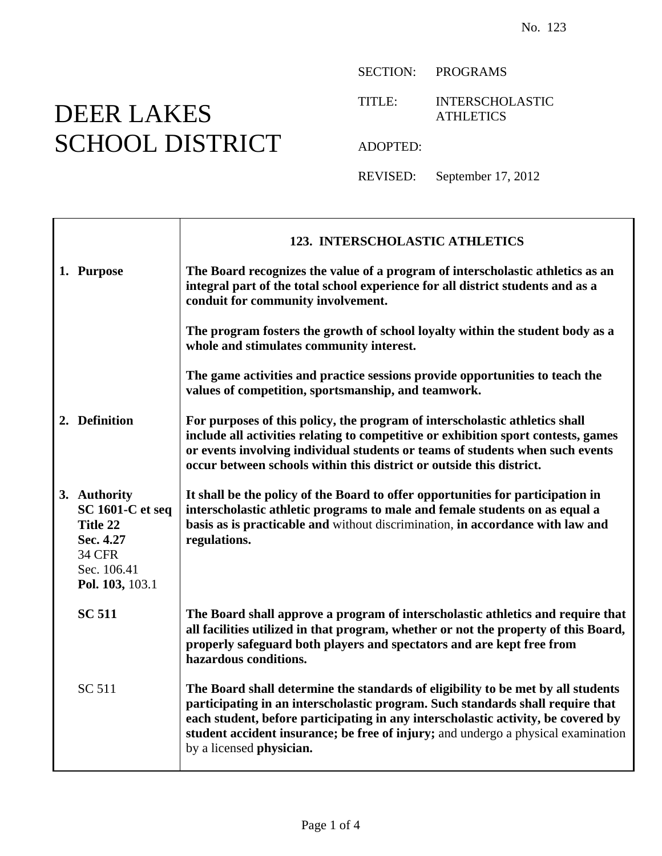## DEER LAKES SCHOOL DISTRICT

Ē

SECTION: PROGRAMS

TITLE: INTERSCHOLASTIC **ATHLETICS** 

ADOPTED:

REVISED: September 17, 2012

|                                                                                                                     | <b>123. INTERSCHOLASTIC ATHLETICS</b>                                                                                                                                                                                                                                                                                                                                    |
|---------------------------------------------------------------------------------------------------------------------|--------------------------------------------------------------------------------------------------------------------------------------------------------------------------------------------------------------------------------------------------------------------------------------------------------------------------------------------------------------------------|
| 1. Purpose                                                                                                          | The Board recognizes the value of a program of interscholastic athletics as an<br>integral part of the total school experience for all district students and as a<br>conduit for community involvement.                                                                                                                                                                  |
|                                                                                                                     | The program fosters the growth of school loyalty within the student body as a<br>whole and stimulates community interest.                                                                                                                                                                                                                                                |
|                                                                                                                     | The game activities and practice sessions provide opportunities to teach the<br>values of competition, sportsmanship, and teamwork.                                                                                                                                                                                                                                      |
| 2. Definition                                                                                                       | For purposes of this policy, the program of interscholastic athletics shall<br>include all activities relating to competitive or exhibition sport contests, games<br>or events involving individual students or teams of students when such events<br>occur between schools within this district or outside this district.                                               |
| 3. Authority<br><b>SC 1601-C et seq</b><br>Title 22<br>Sec. 4.27<br><b>34 CFR</b><br>Sec. 106.41<br>Pol. 103, 103.1 | It shall be the policy of the Board to offer opportunities for participation in<br>interscholastic athletic programs to male and female students on as equal a<br>basis as is practicable and without discrimination, in accordance with law and<br>regulations.                                                                                                         |
| <b>SC 511</b>                                                                                                       | The Board shall approve a program of interscholastic athletics and require that<br>all facilities utilized in that program, whether or not the property of this Board,<br>properly safeguard both players and spectators and are kept free from<br>hazardous conditions.                                                                                                 |
| SC 511                                                                                                              | The Board shall determine the standards of eligibility to be met by all students<br>participating in an interscholastic program. Such standards shall require that<br>each student, before participating in any interscholastic activity, be covered by<br>student accident insurance; be free of injury; and undergo a physical examination<br>by a licensed physician. |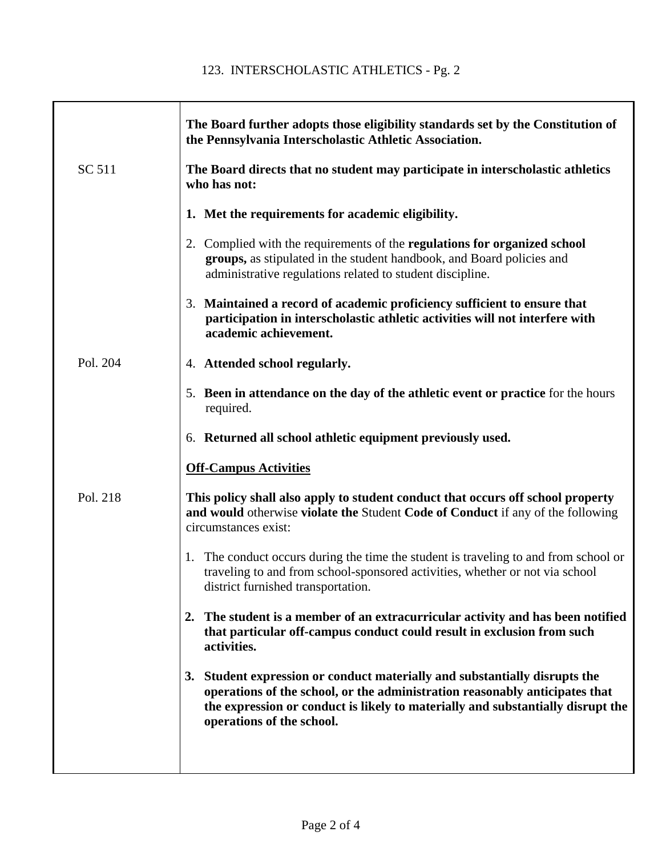## 123. INTERSCHOLASTIC ATHLETICS - Pg. 2

|          | The Board further adopts those eligibility standards set by the Constitution of<br>the Pennsylvania Interscholastic Athletic Association.                                                                                                                                    |
|----------|------------------------------------------------------------------------------------------------------------------------------------------------------------------------------------------------------------------------------------------------------------------------------|
| SC 511   | The Board directs that no student may participate in interscholastic athletics<br>who has not:                                                                                                                                                                               |
|          | 1. Met the requirements for academic eligibility.                                                                                                                                                                                                                            |
|          | 2. Complied with the requirements of the regulations for organized school<br>groups, as stipulated in the student handbook, and Board policies and<br>administrative regulations related to student discipline.                                                              |
|          | 3. Maintained a record of academic proficiency sufficient to ensure that<br>participation in interscholastic athletic activities will not interfere with<br>academic achievement.                                                                                            |
| Pol. 204 | 4. Attended school regularly.                                                                                                                                                                                                                                                |
|          | 5. Been in attendance on the day of the athletic event or practice for the hours<br>required.                                                                                                                                                                                |
|          | 6. Returned all school athletic equipment previously used.                                                                                                                                                                                                                   |
|          | <b>Off-Campus Activities</b>                                                                                                                                                                                                                                                 |
| Pol. 218 | This policy shall also apply to student conduct that occurs off school property<br>and would otherwise violate the Student Code of Conduct if any of the following<br>circumstances exist:                                                                                   |
|          | 1. The conduct occurs during the time the student is traveling to and from school or<br>traveling to and from school-sponsored activities, whether or not via school<br>district furnished transportation.                                                                   |
|          | 2. The student is a member of an extracurricular activity and has been notified<br>that particular off-campus conduct could result in exclusion from such<br>activities.                                                                                                     |
|          | Student expression or conduct materially and substantially disrupts the<br>3.<br>operations of the school, or the administration reasonably anticipates that<br>the expression or conduct is likely to materially and substantially disrupt the<br>operations of the school. |
|          |                                                                                                                                                                                                                                                                              |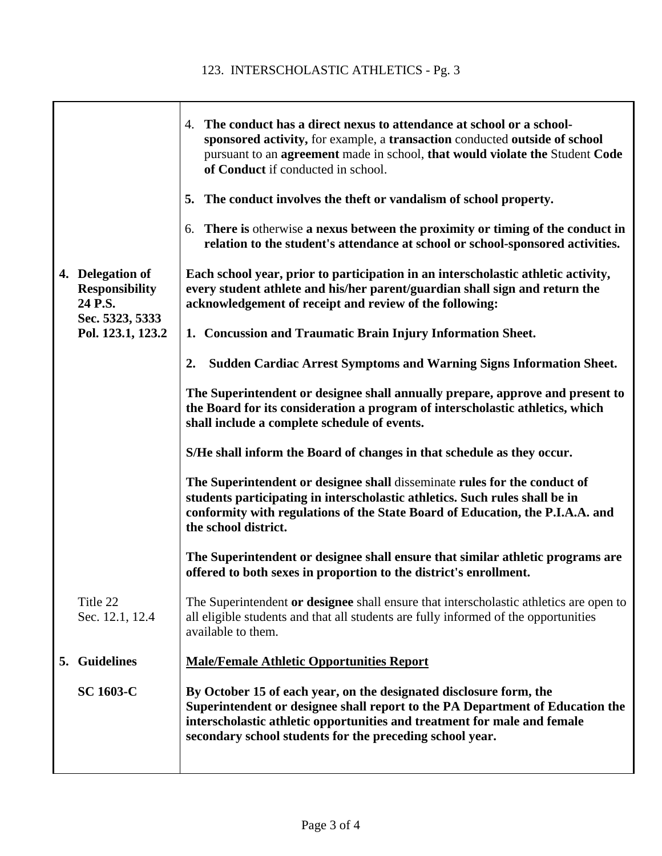|                                                      | 4. The conduct has a direct nexus to attendance at school or a school-<br>sponsored activity, for example, a transaction conducted outside of school<br>pursuant to an agreement made in school, that would violate the Student Code<br>of Conduct if conducted in school.                  |
|------------------------------------------------------|---------------------------------------------------------------------------------------------------------------------------------------------------------------------------------------------------------------------------------------------------------------------------------------------|
|                                                      | 5. The conduct involves the theft or vandalism of school property.                                                                                                                                                                                                                          |
|                                                      | There is otherwise a nexus between the proximity or timing of the conduct in<br>6.<br>relation to the student's attendance at school or school-sponsored activities.                                                                                                                        |
| 4. Delegation of<br><b>Responsibility</b><br>24 P.S. | Each school year, prior to participation in an interscholastic athletic activity,<br>every student athlete and his/her parent/guardian shall sign and return the<br>acknowledgement of receipt and review of the following:                                                                 |
| Sec. 5323, 5333<br>Pol. 123.1, 123.2                 | 1. Concussion and Traumatic Brain Injury Information Sheet.                                                                                                                                                                                                                                 |
|                                                      | <b>Sudden Cardiac Arrest Symptoms and Warning Signs Information Sheet.</b><br>2.                                                                                                                                                                                                            |
|                                                      | The Superintendent or designee shall annually prepare, approve and present to<br>the Board for its consideration a program of interscholastic athletics, which<br>shall include a complete schedule of events.                                                                              |
|                                                      | S/He shall inform the Board of changes in that schedule as they occur.                                                                                                                                                                                                                      |
|                                                      | The Superintendent or designee shall disseminate rules for the conduct of<br>students participating in interscholastic athletics. Such rules shall be in<br>conformity with regulations of the State Board of Education, the P.I.A.A. and<br>the school district.                           |
|                                                      | The Superintendent or designee shall ensure that similar athletic programs are<br>offered to both sexes in proportion to the district's enrollment.                                                                                                                                         |
| Title 22<br>Sec. 12.1, 12.4                          | The Superintendent or designee shall ensure that interscholastic athletics are open to<br>all eligible students and that all students are fully informed of the opportunities<br>available to them.                                                                                         |
| <b>Guidelines</b><br>5.                              | <b>Male/Female Athletic Opportunities Report</b>                                                                                                                                                                                                                                            |
| <b>SC 1603-C</b>                                     | By October 15 of each year, on the designated disclosure form, the<br>Superintendent or designee shall report to the PA Department of Education the<br>interscholastic athletic opportunities and treatment for male and female<br>secondary school students for the preceding school year. |